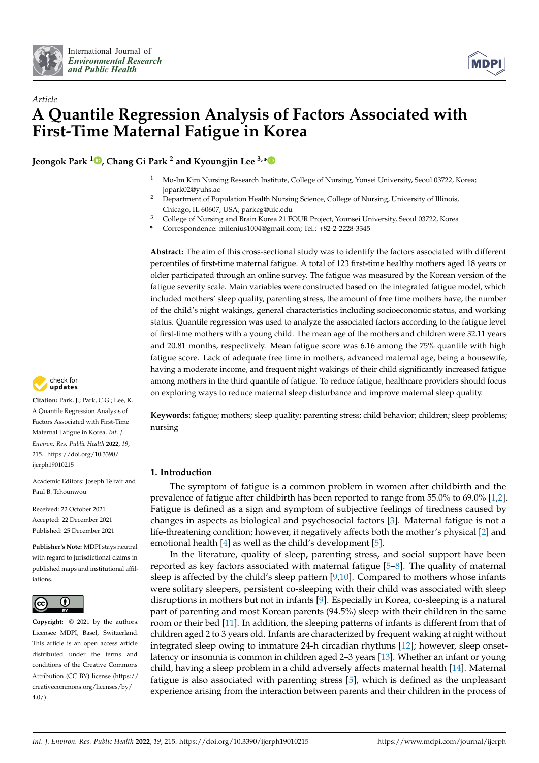



# *Article* **A Quantile Regression Analysis of Factors Associated with First-Time Maternal Fatigue in Korea**

**Jeongok Park <sup>1</sup> [,](https://orcid.org/0000-0003-4978-817X) Chang Gi Park <sup>2</sup> and Kyoungjin Lee 3,[\\*](https://orcid.org/0000-0002-1044-863X)**

- <sup>1</sup> Mo-Im Kim Nursing Research Institute, College of Nursing, Yonsei University, Seoul 03722, Korea; jopark02@yuhs.ac
- <sup>2</sup> Department of Population Health Nursing Science, College of Nursing, University of Illinois, Chicago, IL 60607, USA; parkcg@uic.edu
- <sup>3</sup> College of Nursing and Brain Korea 21 FOUR Project, Younsei University, Seoul 03722, Korea
- **\*** Correspondence: milenius1004@gmail.com; Tel.: +82-2-2228-3345

**Abstract:** The aim of this cross-sectional study was to identify the factors associated with different percentiles of first-time maternal fatigue. A total of 123 first-time healthy mothers aged 18 years or older participated through an online survey. The fatigue was measured by the Korean version of the fatigue severity scale. Main variables were constructed based on the integrated fatigue model, which included mothers' sleep quality, parenting stress, the amount of free time mothers have, the number of the child's night wakings, general characteristics including socioeconomic status, and working status. Quantile regression was used to analyze the associated factors according to the fatigue level of first-time mothers with a young child. The mean age of the mothers and children were 32.11 years and 20.81 months, respectively. Mean fatigue score was 6.16 among the 75% quantile with high fatigue score. Lack of adequate free time in mothers, advanced maternal age, being a housewife, having a moderate income, and frequent night wakings of their child significantly increased fatigue among mothers in the third quantile of fatigue. To reduce fatigue, healthcare providers should focus on exploring ways to reduce maternal sleep disturbance and improve maternal sleep quality.

check for<br>**undates Citation:** Park, J.; Park, C.G.; Lee, K.

A Quantile Regression Analysis of Factors Associated with First-Time Maternal Fatigue in Korea. *Int. J. Environ. Res. Public Health* **2022**, *19*, 215. [https://doi.org/10.3390/](https://doi.org/10.3390/ijerph19010215) [ijerph19010215](https://doi.org/10.3390/ijerph19010215)

Academic Editors: Joseph Telfair and Paul B. Tchounwou

Received: 22 October 2021 Accepted: 22 December 2021 Published: 25 December 2021

**Publisher's Note:** MDPI stays neutral with regard to jurisdictional claims in published maps and institutional affiliations.



**Copyright:** © 2021 by the authors. Licensee MDPI, Basel, Switzerland. This article is an open access article distributed under the terms and conditions of the Creative Commons Attribution (CC BY) license [\(https://](https://creativecommons.org/licenses/by/4.0/) [creativecommons.org/licenses/by/](https://creativecommons.org/licenses/by/4.0/)  $4.0/$ ).

**Keywords:** fatigue; mothers; sleep quality; parenting stress; child behavior; children; sleep problems; nursing

# **1. Introduction**

The symptom of fatigue is a common problem in women after childbirth and the prevalence of fatigue after childbirth has been reported to range from 55.0% to 69.0% [\[1](#page-9-0)[,2\]](#page-9-1). Fatigue is defined as a sign and symptom of subjective feelings of tiredness caused by changes in aspects as biological and psychosocial factors [\[3\]](#page-9-2). Maternal fatigue is not a life-threatening condition; however, it negatively affects both the mother's physical [\[2\]](#page-9-1) and emotional health [\[4\]](#page-9-3) as well as the child's development [\[5\]](#page-9-4).

In the literature, quality of sleep, parenting stress, and social support have been reported as key factors associated with maternal fatigue [\[5–](#page-9-4)[8\]](#page-9-5). The quality of maternal sleep is affected by the child's sleep pattern  $[9,10]$  $[9,10]$ . Compared to mothers whose infants were solitary sleepers, persistent co-sleeping with their child was associated with sleep disruptions in mothers but not in infants [\[9\]](#page-9-6). Especially in Korea, co-sleeping is a natural part of parenting and most Korean parents (94.5%) sleep with their children in the same room or their bed [\[11\]](#page-9-8). In addition, the sleeping patterns of infants is different from that of children aged 2 to 3 years old. Infants are characterized by frequent waking at night without integrated sleep owing to immature 24-h circadian rhythms [\[12\]](#page-9-9); however, sleep onsetlatency or insomnia is common in children aged 2–3 years [\[13\]](#page-9-10). Whether an infant or young child, having a sleep problem in a child adversely affects maternal health [\[14\]](#page-9-11). Maternal fatigue is also associated with parenting stress [\[5\]](#page-9-4), which is defined as the unpleasant experience arising from the interaction between parents and their children in the process of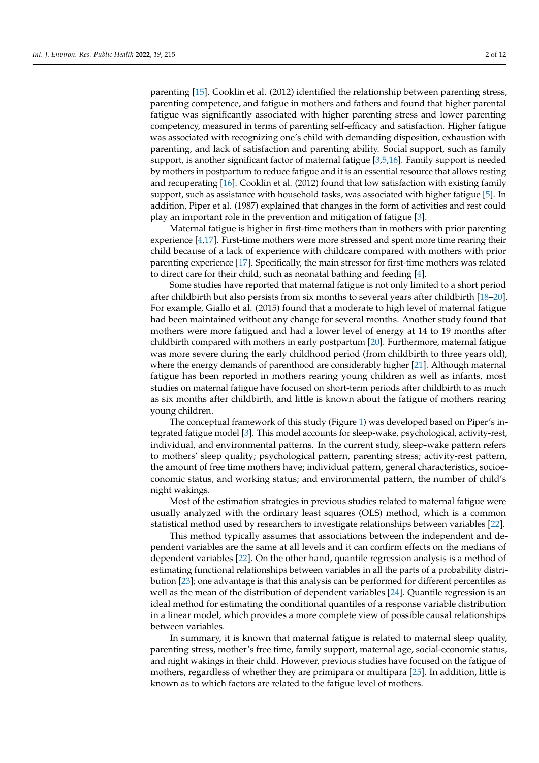parenting [\[15\]](#page-10-0). Cooklin et al. (2012) identified the relationship between parenting stress, parenting competence, and fatigue in mothers and fathers and found that higher parental fatigue was significantly associated with higher parenting stress and lower parenting competency, measured in terms of parenting self-efficacy and satisfaction. Higher fatigue was associated with recognizing one's child with demanding disposition, exhaustion with parenting, and lack of satisfaction and parenting ability. Social support, such as family support, is another significant factor of maternal fatigue [\[3,](#page-9-2)[5,](#page-9-4)[16\]](#page-10-1). Family support is needed by mothers in postpartum to reduce fatigue and it is an essential resource that allows resting and recuperating [\[16\]](#page-10-1). Cooklin et al. (2012) found that low satisfaction with existing family support, such as assistance with household tasks, was associated with higher fatigue [\[5\]](#page-9-4). In addition, Piper et al. (1987) explained that changes in the form of activities and rest could play an important role in the prevention and mitigation of fatigue [\[3\]](#page-9-2).

Maternal fatigue is higher in first-time mothers than in mothers with prior parenting experience [\[4,](#page-9-3)[17\]](#page-10-2). First-time mothers were more stressed and spent more time rearing their child because of a lack of experience with childcare compared with mothers with prior parenting experience [\[17\]](#page-10-2). Specifically, the main stressor for first-time mothers was related to direct care for their child, such as neonatal bathing and feeding [\[4\]](#page-9-3).

Some studies have reported that maternal fatigue is not only limited to a short period after childbirth but also persists from six months to several years after childbirth [\[18](#page-10-3)[–20\]](#page-10-4). For example, Giallo et al. (2015) found that a moderate to high level of maternal fatigue had been maintained without any change for several months. Another study found that mothers were more fatigued and had a lower level of energy at 14 to 19 months after childbirth compared with mothers in early postpartum [\[20\]](#page-10-4). Furthermore, maternal fatigue was more severe during the early childhood period (from childbirth to three years old), where the energy demands of parenthood are considerably higher [\[21\]](#page-10-5). Although maternal fatigue has been reported in mothers rearing young children as well as infants, most studies on maternal fatigue have focused on short-term periods after childbirth to as much as six months after childbirth, and little is known about the fatigue of mothers rearing young children.

The conceptual framework of this study (Figure [1\)](#page-2-0) was developed based on Piper's integrated fatigue model [\[3\]](#page-9-2). This model accounts for sleep-wake, psychological, activity-rest, individual, and environmental patterns. In the current study, sleep-wake pattern refers to mothers' sleep quality; psychological pattern, parenting stress; activity-rest pattern, the amount of free time mothers have; individual pattern, general characteristics, socioeconomic status, and working status; and environmental pattern, the number of child's night wakings.

Most of the estimation strategies in previous studies related to maternal fatigue were usually analyzed with the ordinary least squares (OLS) method, which is a common statistical method used by researchers to investigate relationships between variables [\[22\]](#page-10-6).

This method typically assumes that associations between the independent and dependent variables are the same at all levels and it can confirm effects on the medians of dependent variables [\[22\]](#page-10-6). On the other hand, quantile regression analysis is a method of estimating functional relationships between variables in all the parts of a probability distribution [\[23\]](#page-10-7); one advantage is that this analysis can be performed for different percentiles as well as the mean of the distribution of dependent variables [\[24\]](#page-10-8). Quantile regression is an ideal method for estimating the conditional quantiles of a response variable distribution in a linear model, which provides a more complete view of possible causal relationships between variables.

In summary, it is known that maternal fatigue is related to maternal sleep quality, parenting stress, mother's free time, family support, maternal age, social-economic status, and night wakings in their child. However, previous studies have focused on the fatigue of mothers, regardless of whether they are primipara or multipara [\[25\]](#page-10-9). In addition, little is known as to which factors are related to the fatigue level of mothers.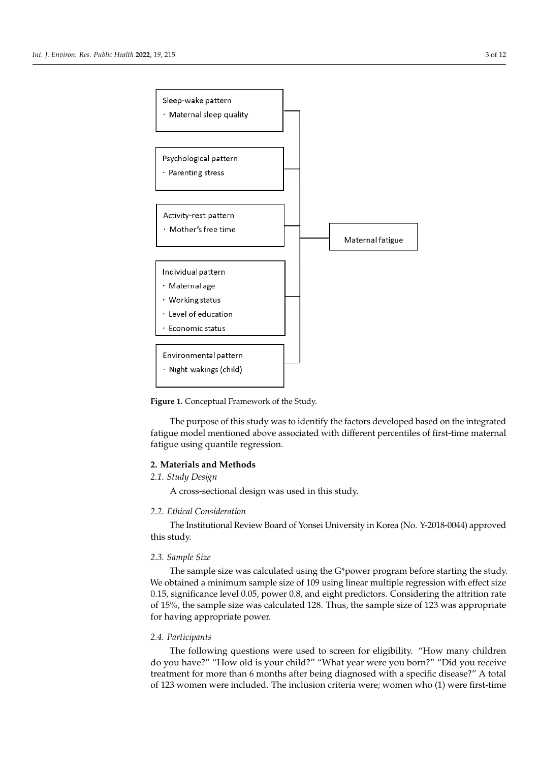<span id="page-2-0"></span>

**Figure 1.** Conceptual Framework of the Study. **Figure 1.** Conceptual Framework of the Study.

fatigue model mentioned above associated with different percentiles of first-time maternal fatigue using quantile regression.  $\sigma$  or  $\sigma$  investigate relationships between variables  $\sigma$ . The purpose of this study was to identify the factors developed based on the integrated

# **The method of the independent assumes that assumes that assumes the independent and de-**

# pendent variables are the same at all levels and it can confirm effects on the medians of *2.1. Study Design*

A cross-sectional design was used in this study.  $\epsilon$  relationships between variables in all the parts of a parts of a probability distribution of a probability distribution of a probability distribution of a probability distribution of a probability distribution of a p

# tribution [23]; one advantage is that this analysis can be performed for different percen-*2.2. Ethical Consideration*

The Institutional Review Board of Yonsei University in Korea (No. Y-2018-0044) approved  $s_{\rm i}$  is an ideal method for estimating the conditional quantiles of a response variable variables  $s_{\rm i}$ distribution in a linear model, which provides a more complete view of possible causal this study.

## 2.3. Sample Size

The sample size was calculated using the G\*power program before starting the study. We obtained a minimum sample size of 109 using linear multiple regression with effect size 0.15, significance level 0.05, power 0.8, and eight predictors. Considering the attrition rate of 15%, the sample size was calculated 128. Thus, the sample size of 123 was appropriate for having appropriate power.

#### grated fatigue model mentioned above associated with different percentiles of first-time *2.4. Participants*

The following questions were used to screen for eligibility. "How many children treatment for more than 6 months after being diagnosed with a specific disease?" A total *2.1. Study Design* of 123 women were included. The inclusion criteria were; women who (1) were first-timedo you have?" "How old is your child?" "What year were you born?" "Did you receive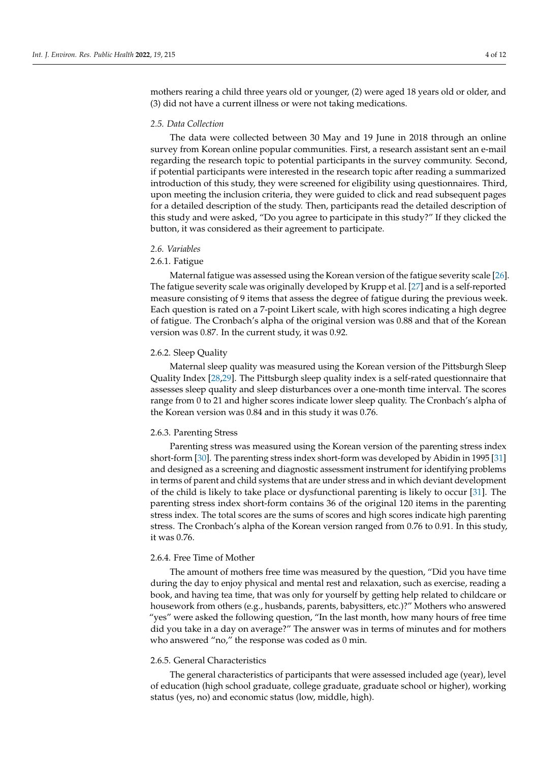mothers rearing a child three years old or younger, (2) were aged 18 years old or older, and (3) did not have a current illness or were not taking medications.

#### *2.5. Data Collection*

The data were collected between 30 May and 19 June in 2018 through an online survey from Korean online popular communities. First, a research assistant sent an e-mail regarding the research topic to potential participants in the survey community. Second, if potential participants were interested in the research topic after reading a summarized introduction of this study, they were screened for eligibility using questionnaires. Third, upon meeting the inclusion criteria, they were guided to click and read subsequent pages for a detailed description of the study. Then, participants read the detailed description of this study and were asked, "Do you agree to participate in this study?" If they clicked the button, it was considered as their agreement to participate.

#### *2.6. Variables*

#### 2.6.1. Fatigue

Maternal fatigue was assessed using the Korean version of the fatigue severity scale [\[26\]](#page-10-10). The fatigue severity scale was originally developed by Krupp et al. [\[27\]](#page-10-11) and is a self-reported measure consisting of 9 items that assess the degree of fatigue during the previous week. Each question is rated on a 7-point Likert scale, with high scores indicating a high degree of fatigue. The Cronbach's alpha of the original version was 0.88 and that of the Korean version was 0.87. In the current study, it was 0.92.

#### 2.6.2. Sleep Quality

Maternal sleep quality was measured using the Korean version of the Pittsburgh Sleep Quality Index [\[28,](#page-10-12)[29\]](#page-10-13). The Pittsburgh sleep quality index is a self-rated questionnaire that assesses sleep quality and sleep disturbances over a one-month time interval. The scores range from 0 to 21 and higher scores indicate lower sleep quality. The Cronbach's alpha of the Korean version was 0.84 and in this study it was 0.76.

#### 2.6.3. Parenting Stress

Parenting stress was measured using the Korean version of the parenting stress index short-form [\[30\]](#page-10-14). The parenting stress index short-form was developed by Abidin in 1995 [\[31\]](#page-10-15) and designed as a screening and diagnostic assessment instrument for identifying problems in terms of parent and child systems that are under stress and in which deviant development of the child is likely to take place or dysfunctional parenting is likely to occur [\[31\]](#page-10-15). The parenting stress index short-form contains 36 of the original 120 items in the parenting stress index. The total scores are the sums of scores and high scores indicate high parenting stress. The Cronbach's alpha of the Korean version ranged from 0.76 to 0.91. In this study, it was 0.76.

#### 2.6.4. Free Time of Mother

The amount of mothers free time was measured by the question, "Did you have time during the day to enjoy physical and mental rest and relaxation, such as exercise, reading a book, and having tea time, that was only for yourself by getting help related to childcare or housework from others (e.g., husbands, parents, babysitters, etc.)?" Mothers who answered "yes" were asked the following question, "In the last month, how many hours of free time did you take in a day on average?" The answer was in terms of minutes and for mothers who answered "no," the response was coded as 0 min.

#### 2.6.5. General Characteristics

The general characteristics of participants that were assessed included age (year), level of education (high school graduate, college graduate, graduate school or higher), working status (yes, no) and economic status (low, middle, high).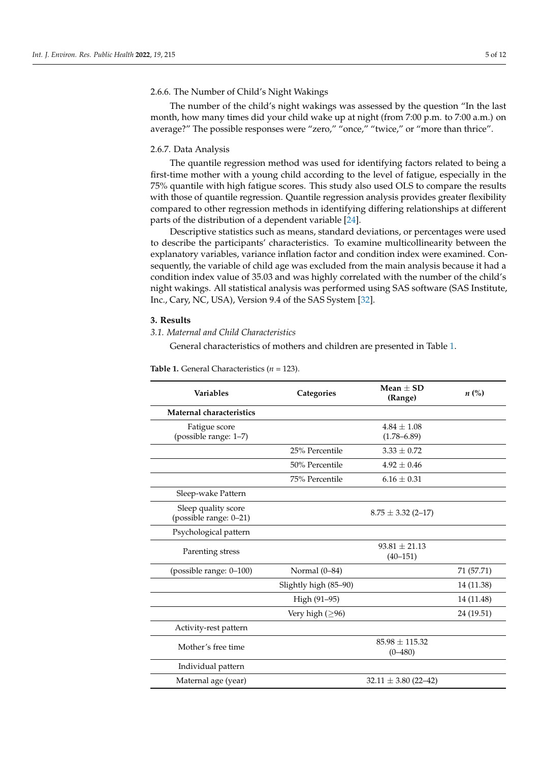#### 2.6.6. The Number of Child's Night Wakings

The number of the child's night wakings was assessed by the question "In the last month, how many times did your child wake up at night (from 7:00 p.m. to 7:00 a.m.) on average?" The possible responses were "zero," "once," "twice," or "more than thrice".

#### 2.6.7. Data Analysis

The quantile regression method was used for identifying factors related to being a first-time mother with a young child according to the level of fatigue, especially in the 75% quantile with high fatigue scores. This study also used OLS to compare the results with those of quantile regression. Quantile regression analysis provides greater flexibility compared to other regression methods in identifying differing relationships at different parts of the distribution of a dependent variable [\[24\]](#page-10-8).

Descriptive statistics such as means, standard deviations, or percentages were used to describe the participants' characteristics. To examine multicollinearity between the explanatory variables, variance inflation factor and condition index were examined. Consequently, the variable of child age was excluded from the main analysis because it had a condition index value of 35.03 and was highly correlated with the number of the child's night wakings. All statistical analysis was performed using SAS software (SAS Institute, Inc., Cary, NC, USA), Version 9.4 of the SAS System [\[32\]](#page-10-16).

### **3. Results**

*3.1. Maternal and Child Characteristics*

General characteristics of mothers and children are presented in Table [1.](#page-5-0)

| <b>Variables</b>                | Categories            | Mean $\pm$ SD<br>(Range) | $n\left(\%\right)$ |  |
|---------------------------------|-----------------------|--------------------------|--------------------|--|
| <b>Maternal characteristics</b> |                       |                          |                    |  |
| Fatigue score                   |                       | $4.84 \pm 1.08$          |                    |  |
| (possible range: 1-7)           |                       | $(1.78 - 6.89)$          |                    |  |
|                                 | 25% Percentile        | $3.33 \pm 0.72$          |                    |  |
|                                 | 50% Percentile        | $4.92 \pm 0.46$          |                    |  |
|                                 | 75% Percentile        | $6.16 \pm 0.31$          |                    |  |
| Sleep-wake Pattern              |                       |                          |                    |  |
| Sleep quality score             |                       | $8.75 \pm 3.32$ (2-17)   |                    |  |
| (possible range: 0-21)          |                       |                          |                    |  |
| Psychological pattern           |                       |                          |                    |  |
| Parenting stress                |                       | $93.81 + 21.13$          |                    |  |
|                                 |                       | $(40 - 151)$             |                    |  |
| (possible range: 0-100)         | Normal (0-84)         |                          | 71 (57.71)         |  |
|                                 | Slightly high (85-90) |                          | 14 (11.38)         |  |
|                                 | High (91-95)          |                          | 14 (11.48)         |  |
|                                 | Very high $(≥96)$     |                          | 24 (19.51)         |  |
| Activity-rest pattern           |                       |                          |                    |  |
| Mother's free time              |                       | $85.98 \pm 115.32$       |                    |  |
|                                 |                       | $(0 - 480)$              |                    |  |
| Individual pattern              |                       |                          |                    |  |
| Maternal age (year)             |                       | $32.11 \pm 3.80$ (22-42) |                    |  |

**Table 1.** General Characteristics (*n* = 123).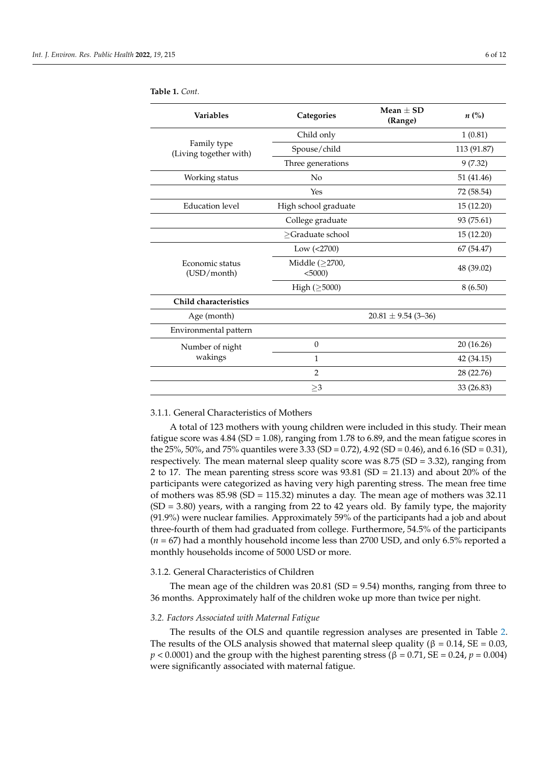| <b>Variables</b>                      | Categories                         | Mean $\pm$ SD<br>(Range) | $n\left(\%\right)$ |  |  |
|---------------------------------------|------------------------------------|--------------------------|--------------------|--|--|
|                                       | Child only                         |                          | 1(0.81)            |  |  |
| Family type<br>(Living together with) | Spouse/child                       |                          | 113 (91.87)        |  |  |
|                                       | Three generations                  |                          | 9(7.32)            |  |  |
| Working status                        | No                                 |                          |                    |  |  |
|                                       | Yes                                |                          | 72 (58.54)         |  |  |
| <b>Education</b> level                | High school graduate               |                          | 15 (12.20)         |  |  |
|                                       | College graduate                   |                          | 93 (75.61)         |  |  |
|                                       | >Graduate school                   |                          | 15 (12.20)         |  |  |
|                                       | Low (<2700)                        |                          | 67 (54.47)         |  |  |
| Economic status<br>(USD/month)        | Middle $(\geq 2700,$<br>$< 5000$ ) |                          | 48 (39.02)         |  |  |
|                                       | High $(\geq 5000)$                 |                          | 8(6.50)            |  |  |
| Child characteristics                 |                                    |                          |                    |  |  |
| Age (month)                           |                                    | $20.81 \pm 9.54$ (3-36)  |                    |  |  |
| Environmental pattern                 |                                    |                          |                    |  |  |
| Number of night                       | $\boldsymbol{0}$                   |                          | 20 (16.26)         |  |  |
| wakings                               | 1                                  |                          | 42 (34.15)         |  |  |
|                                       | $\overline{2}$                     |                          | 28 (22.76)         |  |  |
|                                       | $\geq$ 3                           |                          | 33 (26.83)         |  |  |

<span id="page-5-0"></span>**Table 1.** *Cont.*

#### 3.1.1. General Characteristics of Mothers

A total of 123 mothers with young children were included in this study. Their mean fatigue score was  $4.84$  (SD = 1.08), ranging from 1.78 to 6.89, and the mean fatigue scores in the 25%, 50%, and 75% quantiles were 3.33 (SD = 0.72), 4.92 (SD = 0.46), and 6.16 (SD = 0.31), respectively. The mean maternal sleep quality score was  $8.75$  (SD = 3.32), ranging from 2 to 17. The mean parenting stress score was 93.81 (SD = 21.13) and about 20% of the participants were categorized as having very high parenting stress. The mean free time of mothers was  $85.98$  (SD = 115.32) minutes a day. The mean age of mothers was 32.11  $(SD = 3.80)$  years, with a ranging from 22 to 42 years old. By family type, the majority (91.9%) were nuclear families. Approximately 59% of the participants had a job and about three-fourth of them had graduated from college. Furthermore, 54.5% of the participants (*n* = 67) had a monthly household income less than 2700 USD, and only 6.5% reported a monthly households income of 5000 USD or more.

## 3.1.2. General Characteristics of Children

The mean age of the children was  $20.81$  (SD = 9.54) months, ranging from three to 36 months. Approximately half of the children woke up more than twice per night.

## *3.2. Factors Associated with Maternal Fatigue*

The results of the OLS and quantile regression analyses are presented in Table [2.](#page-6-0) The results of the OLS analysis showed that maternal sleep quality ( $\beta = 0.14$ , SE = 0.03,  $p < 0.0001$  and the group with the highest parenting stress ( $\beta = 0.71$ , SE = 0.24,  $p = 0.004$ ) were significantly associated with maternal fatigue.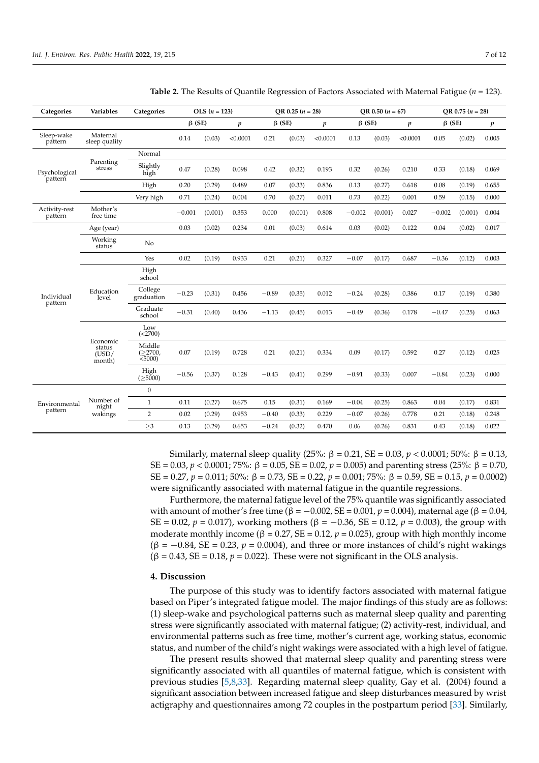| Categories               | <b>Variables</b>                      | Categories                      | $OLS (n = 123)$                  |         | OR 0.25 $(n = 28)$               |         | OR 0.50 $(n = 67)$ |              |          | OR 0.75 $(n = 28)$ |              |          |                  |       |
|--------------------------|---------------------------------------|---------------------------------|----------------------------------|---------|----------------------------------|---------|--------------------|--------------|----------|--------------------|--------------|----------|------------------|-------|
|                          |                                       |                                 | $\beta$ (SE)<br>$\boldsymbol{p}$ |         | $\beta$ (SE)<br>$\boldsymbol{p}$ |         |                    | $\beta$ (SE) |          | $\boldsymbol{p}$   | $\beta$ (SE) |          | $\boldsymbol{p}$ |       |
| Sleep-wake<br>pattern    | Maternal<br>sleep quality             |                                 | 0.14                             | (0.03)  | < 0.0001                         | 0.21    | (0.03)             | < 0.0001     | 0.13     | (0.03)             | < 0.0001     | 0.05     | (0.02)           | 0.005 |
| Psychological<br>pattern |                                       | Normal                          |                                  |         |                                  |         |                    |              |          |                    |              |          |                  |       |
|                          | Parenting<br>$_{\mbox{stress}}$       | Slightly<br>high                | 0.47                             | (0.28)  | 0.098                            | 0.42    | (0.32)             | 0.193        | 0.32     | (0.26)             | 0.210        | 0.33     | (0.18)           | 0.069 |
|                          |                                       | High                            | 0.20                             | (0.29)  | 0.489                            | 0.07    | (0.33)             | 0.836        | 0.13     | (0.27)             | 0.618        | 0.08     | (0.19)           | 0.655 |
|                          |                                       | Very high                       | 0.71                             | (0.24)  | 0.004                            | 0.70    | (0.27)             | 0.011        | 0.73     | (0.22)             | 0.001        | 0.59     | (0.15)           | 0.000 |
| Activity-rest<br>pattern | Mother's<br>free time                 |                                 | $-0.001$                         | (0.001) | 0.353                            | 0.000   | (0.001)            | 0.808        | $-0.002$ | (0.001)            | 0.027        | $-0.002$ | (0.001)          | 0.004 |
| Individual<br>pattern    | Age (year)                            |                                 | 0.03                             | (0.02)  | 0.234                            | 0.01    | (0.03)             | 0.614        | 0.03     | (0.02)             | 0.122        | 0.04     | (0.02)           | 0.017 |
|                          | Working<br>status                     | No                              |                                  |         |                                  |         |                    |              |          |                    |              |          |                  |       |
|                          |                                       | Yes                             | 0.02                             | (0.19)  | 0.933                            | 0.21    | (0.21)             | 0.327        | $-0.07$  | (0.17)             | 0.687        | $-0.36$  | (0.12)           | 0.003 |
|                          | Education<br>level                    | High<br>school                  |                                  |         |                                  |         |                    |              |          |                    |              |          |                  |       |
|                          |                                       | College<br>graduation           | $-0.23$                          | (0.31)  | 0.456                            | $-0.89$ | (0.35)             | 0.012        | $-0.24$  | (0.28)             | 0.386        | 0.17     | (0.19)           | 0.380 |
|                          |                                       | Graduate<br>school              | $-0.31$                          | (0.40)  | 0.436                            | $-1.13$ | (0.45)             | 0.013        | $-0.49$  | (0.36)             | 0.178        | $-0.47$  | (0.25)           | 0.063 |
|                          | Economic<br>status<br>(USD/<br>month) | Low<br>(<2700)                  |                                  |         |                                  |         |                    |              |          |                    |              |          |                  |       |
|                          |                                       | Middle<br>(22700,<br>$< 5000$ ) | 0.07                             | (0.19)  | 0.728                            | 0.21    | (0.21)             | 0.334        | 0.09     | (0.17)             | 0.592        | 0.27     | (0.12)           | 0.025 |
|                          |                                       | High<br>$( \geq 5000)$          | $-0.56$                          | (0.37)  | 0.128                            | $-0.43$ | (0.41)             | 0.299        | $-0.91$  | (0.33)             | 0.007        | $-0.84$  | (0.23)           | 0.000 |
| Environmental<br>pattern | Number of<br>night<br>wakings         | $\boldsymbol{0}$                |                                  |         |                                  |         |                    |              |          |                    |              |          |                  |       |
|                          |                                       | $\mathbf{1}$                    | 0.11                             | (0.27)  | 0.675                            | 0.15    | (0.31)             | 0.169        | $-0.04$  | (0.25)             | 0.863        | 0.04     | (0.17)           | 0.831 |
|                          |                                       | $\overline{2}$                  | 0.02                             | (0.29)  | 0.953                            | $-0.40$ | (0.33)             | 0.229        | $-0.07$  | (0.26)             | 0.778        | 0.21     | (0.18)           | 0.248 |
|                          |                                       | $\geq$ 3                        | 0.13                             | (0.29)  | 0.653                            | $-0.24$ | (0.32)             | 0.470        | 0.06     | (0.26)             | 0.831        | 0.43     | (0.18)           | 0.022 |

<span id="page-6-0"></span>**Table 2.** The Results of Quantile Regression of Factors Associated with Maternal Fatigue (*n* = 123).

Similarly, maternal sleep quality (25%: β = 0.21, SE = 0.03, *p* < 0.0001; 50%: β = 0.13, SE = 0.03, *p* < 0.0001; 75%: β = 0.05, SE = 0.02, *p* = 0.005) and parenting stress (25%: β = 0.70, SE = 0.27, *p* = 0.011; 50%: β = 0.73, SE = 0.22, *p* = 0.001; 75%: β = 0.59, SE = 0.15, *p* = 0.0002) were significantly associated with maternal fatigue in the quantile regressions.

Furthermore, the maternal fatigue level of the 75% quantile was significantly associated with amount of mother's free time (β = -0.002, SE = 0.001,  $p = 0.004$ ), maternal age (β = 0.04, SE = 0.02, *p* = 0.017), working mothers (β = -0.36, SE = 0.12, *p* = 0.003), the group with moderate monthly income ( $\beta = 0.27$ ,  $SE = 0.12$ ,  $p = 0.025$ ), group with high monthly income  $(\beta = -0.84, SE = 0.23, p = 0.0004)$ , and three or more instances of child's night wakings  $(\beta = 0.43, SE = 0.18, p = 0.022)$ . These were not significant in the OLS analysis.

#### **4. Discussion**

The purpose of this study was to identify factors associated with maternal fatigue based on Piper's integrated fatigue model. The major findings of this study are as follows: (1) sleep-wake and psychological patterns such as maternal sleep quality and parenting stress were significantly associated with maternal fatigue; (2) activity-rest, individual, and environmental patterns such as free time, mother's current age, working status, economic status, and number of the child's night wakings were associated with a high level of fatigue.

The present results showed that maternal sleep quality and parenting stress were significantly associated with all quantiles of maternal fatigue, which is consistent with previous studies [\[5,](#page-9-4)[8,](#page-9-5)[33\]](#page-10-17). Regarding maternal sleep quality, Gay et al. (2004) found a significant association between increased fatigue and sleep disturbances measured by wrist actigraphy and questionnaires among 72 couples in the postpartum period [\[33\]](#page-10-17). Similarly,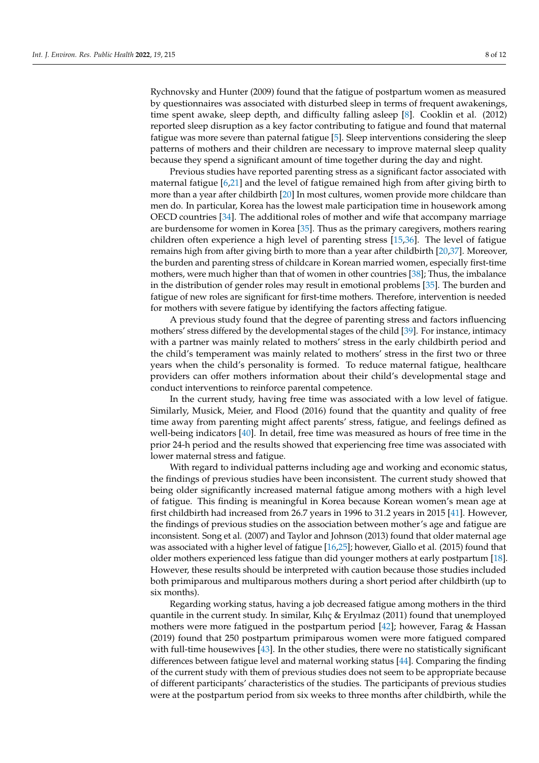Rychnovsky and Hunter (2009) found that the fatigue of postpartum women as measured by questionnaires was associated with disturbed sleep in terms of frequent awakenings, time spent awake, sleep depth, and difficulty falling asleep [\[8\]](#page-9-5). Cooklin et al. (2012) reported sleep disruption as a key factor contributing to fatigue and found that maternal fatigue was more severe than paternal fatigue [\[5\]](#page-9-4). Sleep interventions considering the sleep patterns of mothers and their children are necessary to improve maternal sleep quality because they spend a significant amount of time together during the day and night.

Previous studies have reported parenting stress as a significant factor associated with maternal fatigue [\[6](#page-9-12)[,21\]](#page-10-5) and the level of fatigue remained high from after giving birth to more than a year after childbirth [\[20\]](#page-10-4) In most cultures, women provide more childcare than men do. In particular, Korea has the lowest male participation time in housework among OECD countries [\[34\]](#page-10-18). The additional roles of mother and wife that accompany marriage are burdensome for women in Korea [\[35\]](#page-10-19). Thus as the primary caregivers, mothers rearing children often experience a high level of parenting stress [\[15](#page-10-0)[,36\]](#page-10-20). The level of fatigue remains high from after giving birth to more than a year after childbirth [\[20](#page-10-4)[,37\]](#page-10-21). Moreover, the burden and parenting stress of childcare in Korean married women, especially first-time mothers, were much higher than that of women in other countries [\[38\]](#page-10-22); Thus, the imbalance in the distribution of gender roles may result in emotional problems [\[35\]](#page-10-19). The burden and fatigue of new roles are significant for first-time mothers. Therefore, intervention is needed for mothers with severe fatigue by identifying the factors affecting fatigue.

A previous study found that the degree of parenting stress and factors influencing mothers' stress differed by the developmental stages of the child [\[39\]](#page-10-23). For instance, intimacy with a partner was mainly related to mothers' stress in the early childbirth period and the child's temperament was mainly related to mothers' stress in the first two or three years when the child's personality is formed. To reduce maternal fatigue, healthcare providers can offer mothers information about their child's developmental stage and conduct interventions to reinforce parental competence.

In the current study, having free time was associated with a low level of fatigue. Similarly, Musick, Meier, and Flood (2016) found that the quantity and quality of free time away from parenting might affect parents' stress, fatigue, and feelings defined as well-being indicators [\[40\]](#page-10-24). In detail, free time was measured as hours of free time in the prior 24-h period and the results showed that experiencing free time was associated with lower maternal stress and fatigue.

With regard to individual patterns including age and working and economic status, the findings of previous studies have been inconsistent. The current study showed that being older significantly increased maternal fatigue among mothers with a high level of fatigue. This finding is meaningful in Korea because Korean women's mean age at first childbirth had increased from 26.7 years in 1996 to 31.2 years in 2015 [\[41\]](#page-10-25). However, the findings of previous studies on the association between mother's age and fatigue are inconsistent. Song et al. (2007) and Taylor and Johnson (2013) found that older maternal age was associated with a higher level of fatigue [\[16](#page-10-1)[,25\]](#page-10-9); however, Giallo et al. (2015) found that older mothers experienced less fatigue than did younger mothers at early postpartum [\[18\]](#page-10-3). However, these results should be interpreted with caution because those studies included both primiparous and multiparous mothers during a short period after childbirth (up to six months).

Regarding working status, having a job decreased fatigue among mothers in the third quantile in the current study. In similar, Kılıç & Eryılmaz (2011) found that unemployed mothers were more fatigued in the postpartum period [\[42\]](#page-10-26); however, Farag & Hassan (2019) found that 250 postpartum primiparous women were more fatigued compared with full-time housewives [\[43\]](#page-10-27). In the other studies, there were no statistically significant differences between fatigue level and maternal working status [\[44\]](#page-10-28). Comparing the finding of the current study with them of previous studies does not seem to be appropriate because of different participants' characteristics of the studies. The participants of previous studies were at the postpartum period from six weeks to three months after childbirth, while the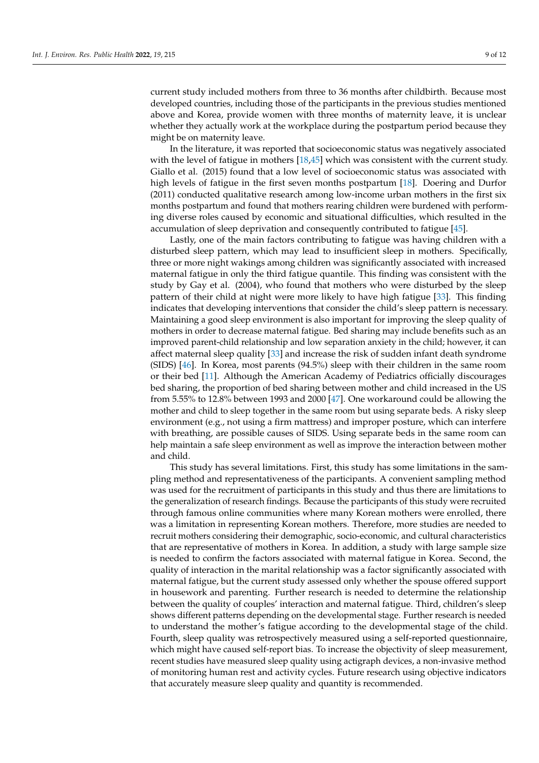current study included mothers from three to 36 months after childbirth. Because most developed countries, including those of the participants in the previous studies mentioned above and Korea, provide women with three months of maternity leave, it is unclear whether they actually work at the workplace during the postpartum period because they might be on maternity leave.

In the literature, it was reported that socioeconomic status was negatively associated with the level of fatigue in mothers [\[18](#page-10-3)[,45\]](#page-10-29) which was consistent with the current study. Giallo et al. (2015) found that a low level of socioeconomic status was associated with high levels of fatigue in the first seven months postpartum [\[18\]](#page-10-3). Doering and Durfor (2011) conducted qualitative research among low-income urban mothers in the first six months postpartum and found that mothers rearing children were burdened with performing diverse roles caused by economic and situational difficulties, which resulted in the accumulation of sleep deprivation and consequently contributed to fatigue [\[45\]](#page-10-29).

Lastly, one of the main factors contributing to fatigue was having children with a disturbed sleep pattern, which may lead to insufficient sleep in mothers. Specifically, three or more night wakings among children was significantly associated with increased maternal fatigue in only the third fatigue quantile. This finding was consistent with the study by Gay et al. (2004), who found that mothers who were disturbed by the sleep pattern of their child at night were more likely to have high fatigue [\[33\]](#page-10-17). This finding indicates that developing interventions that consider the child's sleep pattern is necessary. Maintaining a good sleep environment is also important for improving the sleep quality of mothers in order to decrease maternal fatigue. Bed sharing may include benefits such as an improved parent-child relationship and low separation anxiety in the child; however, it can affect maternal sleep quality [\[33\]](#page-10-17) and increase the risk of sudden infant death syndrome (SIDS) [\[46\]](#page-11-0). In Korea, most parents (94.5%) sleep with their children in the same room or their bed [\[11\]](#page-9-8). Although the American Academy of Pediatrics officially discourages bed sharing, the proportion of bed sharing between mother and child increased in the US from 5.55% to 12.8% between 1993 and 2000 [\[47\]](#page-11-1). One workaround could be allowing the mother and child to sleep together in the same room but using separate beds. A risky sleep environment (e.g., not using a firm mattress) and improper posture, which can interfere with breathing, are possible causes of SIDS. Using separate beds in the same room can help maintain a safe sleep environment as well as improve the interaction between mother and child.

This study has several limitations. First, this study has some limitations in the sampling method and representativeness of the participants. A convenient sampling method was used for the recruitment of participants in this study and thus there are limitations to the generalization of research findings. Because the participants of this study were recruited through famous online communities where many Korean mothers were enrolled, there was a limitation in representing Korean mothers. Therefore, more studies are needed to recruit mothers considering their demographic, socio-economic, and cultural characteristics that are representative of mothers in Korea. In addition, a study with large sample size is needed to confirm the factors associated with maternal fatigue in Korea. Second, the quality of interaction in the marital relationship was a factor significantly associated with maternal fatigue, but the current study assessed only whether the spouse offered support in housework and parenting. Further research is needed to determine the relationship between the quality of couples' interaction and maternal fatigue. Third, children's sleep shows different patterns depending on the developmental stage. Further research is needed to understand the mother's fatigue according to the developmental stage of the child. Fourth, sleep quality was retrospectively measured using a self-reported questionnaire, which might have caused self-report bias. To increase the objectivity of sleep measurement, recent studies have measured sleep quality using actigraph devices, a non-invasive method of monitoring human rest and activity cycles. Future research using objective indicators that accurately measure sleep quality and quantity is recommended.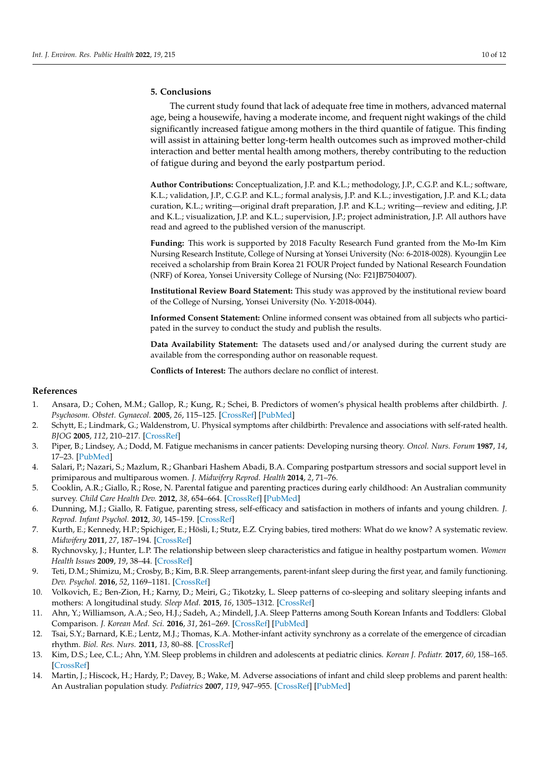## **5. Conclusions**

The current study found that lack of adequate free time in mothers, advanced maternal age, being a housewife, having a moderate income, and frequent night wakings of the child significantly increased fatigue among mothers in the third quantile of fatigue. This finding will assist in attaining better long-term health outcomes such as improved mother-child interaction and better mental health among mothers, thereby contributing to the reduction of fatigue during and beyond the early postpartum period.

**Author Contributions:** Conceptualization, J.P. and K.L.; methodology, J.P., C.G.P. and K.L.; software, K.L.; validation, J.P., C.G.P. and K.L.; formal analysis, J.P. and K.L.; investigation, J.P. and K.L; data curation, K.L.; writing—original draft preparation, J.P. and K.L.; writing—review and editing, J.P. and K.L.; visualization, J.P. and K.L.; supervision, J.P.; project administration, J.P. All authors have read and agreed to the published version of the manuscript.

**Funding:** This work is supported by 2018 Faculty Research Fund granted from the Mo-Im Kim Nursing Research Institute, College of Nursing at Yonsei University (No: 6-2018-0028). Kyoungjin Lee received a scholarship from Brain Korea 21 FOUR Project funded by National Research Foundation (NRF) of Korea, Yonsei University College of Nursing (No: F21JB7504007).

**Institutional Review Board Statement:** This study was approved by the institutional review board of the College of Nursing, Yonsei University (No. Y-2018-0044).

**Informed Consent Statement:** Online informed consent was obtained from all subjects who participated in the survey to conduct the study and publish the results.

**Data Availability Statement:** The datasets used and/or analysed during the current study are available from the corresponding author on reasonable request.

**Conflicts of Interest:** The authors declare no conflict of interest.

## **References**

- <span id="page-9-0"></span>1. Ansara, D.; Cohen, M.M.; Gallop, R.; Kung, R.; Schei, B. Predictors of women's physical health problems after childbirth. *J. Psychosom. Obstet. Gynaecol.* **2005**, *26*, 115–125. [\[CrossRef\]](http://doi.org/10.1080/01443610400023064) [\[PubMed\]](http://www.ncbi.nlm.nih.gov/pubmed/16050537)
- <span id="page-9-1"></span>2. Schytt, E.; Lindmark, G.; Waldenstrom, U. Physical symptoms after childbirth: Prevalence and associations with self-rated health. *BJOG* **2005**, *112*, 210–217. [\[CrossRef\]](http://doi.org/10.1111/j.1471-0528.2004.00319.x)
- <span id="page-9-2"></span>3. Piper, B.; Lindsey, A.; Dodd, M. Fatigue mechanisms in cancer patients: Developing nursing theory. *Oncol. Nurs. Forum* **1987**, *14*, 17–23. [\[PubMed\]](http://www.ncbi.nlm.nih.gov/pubmed/3320981)
- <span id="page-9-3"></span>4. Salari, P.; Nazari, S.; Mazlum, R.; Ghanbari Hashem Abadi, B.A. Comparing postpartum stressors and social support level in primiparous and multiparous women. *J. Midwifery Reprod. Health* **2014**, *2*, 71–76.
- <span id="page-9-4"></span>5. Cooklin, A.R.; Giallo, R.; Rose, N. Parental fatigue and parenting practices during early childhood: An Australian community survey. *Child Care Health Dev.* **2012**, *38*, 654–664. [\[CrossRef\]](http://doi.org/10.1111/j.1365-2214.2011.01333.x) [\[PubMed\]](http://www.ncbi.nlm.nih.gov/pubmed/22017576)
- <span id="page-9-12"></span>6. Dunning, M.J.; Giallo, R. Fatigue, parenting stress, self-efficacy and satisfaction in mothers of infants and young children. *J. Reprod. Infant Psychol.* **2012**, *30*, 145–159. [\[CrossRef\]](http://doi.org/10.1080/02646838.2012.693910)
- 7. Kurth, E.; Kennedy, H.P.; Spichiger, E.; Hösli, I.; Stutz, E.Z. Crying babies, tired mothers: What do we know? A systematic review. *Midwifery* **2011**, *27*, 187–194. [\[CrossRef\]](http://doi.org/10.1016/j.midw.2009.05.012)
- <span id="page-9-5"></span>8. Rychnovsky, J.; Hunter, L.P. The relationship between sleep characteristics and fatigue in healthy postpartum women. *Women Health Issues* **2009**, *19*, 38–44. [\[CrossRef\]](http://doi.org/10.1016/j.whi.2008.07.015)
- <span id="page-9-6"></span>9. Teti, D.M.; Shimizu, M.; Crosby, B.; Kim, B.R. Sleep arrangements, parent-infant sleep during the first year, and family functioning. *Dev. Psychol.* **2016**, *52*, 1169–1181. [\[CrossRef\]](http://doi.org/10.1037/dev0000148)
- <span id="page-9-7"></span>10. Volkovich, E.; Ben-Zion, H.; Karny, D.; Meiri, G.; Tikotzky, L. Sleep patterns of co-sleeping and solitary sleeping infants and mothers: A longitudinal study. *Sleep Med.* **2015**, *16*, 1305–1312. [\[CrossRef\]](http://doi.org/10.1016/j.sleep.2015.08.016)
- <span id="page-9-8"></span>11. Ahn, Y.; Williamson, A.A.; Seo, H.J.; Sadeh, A.; Mindell, J.A. Sleep Patterns among South Korean Infants and Toddlers: Global Comparison. *J. Korean Med. Sci.* **2016**, *31*, 261–269. [\[CrossRef\]](http://doi.org/10.3346/jkms.2016.31.2.261) [\[PubMed\]](http://www.ncbi.nlm.nih.gov/pubmed/26839481)
- <span id="page-9-9"></span>12. Tsai, S.Y.; Barnard, K.E.; Lentz, M.J.; Thomas, K.A. Mother-infant activity synchrony as a correlate of the emergence of circadian rhythm. *Biol. Res. Nurs.* **2011**, *13*, 80–88. [\[CrossRef\]](http://doi.org/10.1177/1099800410378889)
- <span id="page-9-10"></span>13. Kim, D.S.; Lee, C.L.; Ahn, Y.M. Sleep problems in children and adolescents at pediatric clinics. *Korean J. Pediatr.* **2017**, *60*, 158–165. [\[CrossRef\]](http://doi.org/10.3345/kjp.2017.60.5.158)
- <span id="page-9-11"></span>14. Martin, J.; Hiscock, H.; Hardy, P.; Davey, B.; Wake, M. Adverse associations of infant and child sleep problems and parent health: An Australian population study. *Pediatrics* **2007**, *119*, 947–955. [\[CrossRef\]](http://doi.org/10.1542/peds.2006-2569) [\[PubMed\]](http://www.ncbi.nlm.nih.gov/pubmed/17473096)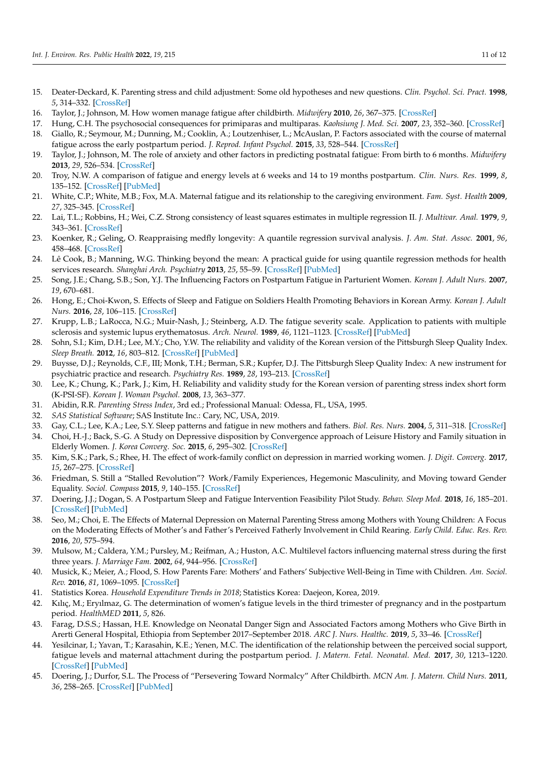- <span id="page-10-0"></span>15. Deater-Deckard, K. Parenting stress and child adjustment: Some old hypotheses and new questions. *Clin. Psychol. Sci. Pract.* **1998**, *5*, 314–332. [\[CrossRef\]](http://doi.org/10.1111/j.1468-2850.1998.tb00152.x)
- <span id="page-10-1"></span>16. Taylor, J.; Johnson, M. How women manage fatigue after childbirth. *Midwifery* **2010**, *26*, 367–375. [\[CrossRef\]](http://doi.org/10.1016/j.midw.2008.07.004)
- <span id="page-10-2"></span>17. Hung, C.H. The psychosocial consequences for primiparas and multiparas. *Kaohsiung J. Med. Sci.* **2007**, *23*, 352–360. [\[CrossRef\]](http://doi.org/10.1016/S1607-551X(09)70421-8)
- <span id="page-10-3"></span>18. Giallo, R.; Seymour, M.; Dunning, M.; Cooklin, A.; Loutzenhiser, L.; McAuslan, P. Factors associated with the course of maternal fatigue across the early postpartum period. *J. Reprod. Infant Psychol.* **2015**, *33*, 528–544. [\[CrossRef\]](http://doi.org/10.1080/02646838.2015.1021769)
- 19. Taylor, J.; Johnson, M. The role of anxiety and other factors in predicting postnatal fatigue: From birth to 6 months. *Midwifery* **2013**, *29*, 526–534. [\[CrossRef\]](http://doi.org/10.1016/j.midw.2012.04.011)
- <span id="page-10-4"></span>20. Troy, N.W. A comparison of fatigue and energy levels at 6 weeks and 14 to 19 months postpartum. *Clin. Nurs. Res.* **1999**, *8*, 135–152. [\[CrossRef\]](http://doi.org/10.1177/10547739922158205) [\[PubMed\]](http://www.ncbi.nlm.nih.gov/pubmed/10887866)
- <span id="page-10-5"></span>21. White, C.P.; White, M.B.; Fox, M.A. Maternal fatigue and its relationship to the caregiving environment. *Fam. Syst. Health* **2009**, *27*, 325–345. [\[CrossRef\]](http://doi.org/10.1037/a0018284)
- <span id="page-10-6"></span>22. Lai, T.L.; Robbins, H.; Wei, C.Z. Strong consistency of least squares estimates in multiple regression II. *J. Multivar. Anal.* **1979**, *9*, 343–361. [\[CrossRef\]](http://doi.org/10.1016/0047-259X(79)90093-9)
- <span id="page-10-7"></span>23. Koenker, R.; Geling, O. Reappraising medfly longevity: A quantile regression survival analysis. *J. Am. Stat. Assoc.* **2001**, *96*, 458–468. [\[CrossRef\]](http://doi.org/10.1198/016214501753168172)
- <span id="page-10-8"></span>24. Lê Cook, B.; Manning, W.G. Thinking beyond the mean: A practical guide for using quantile regression methods for health services research. *Shanghai Arch. Psychiatry* **2013**, *25*, 55–59. [\[CrossRef\]](http://doi.org/10.3969/j.issn.1002-0829.2013.01.011) [\[PubMed\]](http://www.ncbi.nlm.nih.gov/pubmed/24948867)
- <span id="page-10-9"></span>25. Song, J.E.; Chang, S.B.; Son, Y.J. The Influencing Factors on Postpartum Fatigue in Parturient Women. *Korean J. Adult Nurs.* **2007**, *19*, 670–681.
- <span id="page-10-10"></span>26. Hong, E.; Choi-Kwon, S. Effects of Sleep and Fatigue on Soldiers Health Promoting Behaviors in Korean Army. *Korean J. Adult Nurs.* **2016**, *28*, 106–115. [\[CrossRef\]](http://doi.org/10.7475/kjan.2016.28.1.106)
- <span id="page-10-11"></span>27. Krupp, L.B.; LaRocca, N.G.; Muir-Nash, J.; Steinberg, A.D. The fatigue severity scale. Application to patients with multiple sclerosis and systemic lupus erythematosus. *Arch. Neurol.* **1989**, *46*, 1121–1123. [\[CrossRef\]](http://doi.org/10.1001/archneur.1989.00520460115022) [\[PubMed\]](http://www.ncbi.nlm.nih.gov/pubmed/2803071)
- <span id="page-10-12"></span>28. Sohn, S.I.; Kim, D.H.; Lee, M.Y.; Cho, Y.W. The reliability and validity of the Korean version of the Pittsburgh Sleep Quality Index. *Sleep Breath.* **2012**, *16*, 803–812. [\[CrossRef\]](http://doi.org/10.1007/s11325-011-0579-9) [\[PubMed\]](http://www.ncbi.nlm.nih.gov/pubmed/21901299)
- <span id="page-10-13"></span>29. Buysse, D.J.; Reynolds, C.F., III; Monk, T.H.; Berman, S.R.; Kupfer, D.J. The Pittsburgh Sleep Quality Index: A new instrument for psychiatric practice and research. *Psychiatry Res.* **1989**, *28*, 193–213. [\[CrossRef\]](http://doi.org/10.1016/0165-1781(89)90047-4)
- <span id="page-10-14"></span>30. Lee, K.; Chung, K.; Park, J.; Kim, H. Reliability and validity study for the Korean version of parenting stress index short form (K-PSI-SF). *Korean J. Woman Psychol.* **2008**, *13*, 363–377.
- <span id="page-10-15"></span>31. Abidin, R.R. *Parenting Stress Index*, 3rd ed.; Professional Manual: Odessa, FL, USA, 1995.
- <span id="page-10-16"></span>32. *SAS Statistical Software*; SAS Institute Inc.: Cary, NC, USA, 2019.
- <span id="page-10-17"></span>33. Gay, C.L.; Lee, K.A.; Lee, S.Y. Sleep patterns and fatigue in new mothers and fathers. *Biol. Res. Nurs.* **2004**, *5*, 311–318. [\[CrossRef\]](http://doi.org/10.1177/1099800403262142)
- <span id="page-10-18"></span>34. Choi, H.-J.; Back, S.-G. A Study on Depressive disposition by Convergence approach of Leisure History and Family situation in Elderly Women. *J. Korea Converg. Soc.* **2015**, *6*, 295–302. [\[CrossRef\]](http://doi.org/10.15207/JKCS.2015.6.5.295)
- <span id="page-10-19"></span>35. Kim, S.K.; Park, S.; Rhee, H. The effect of work-family conflict on depression in married working women. *J. Digit. Converg.* **2017**, *15*, 267–275. [\[CrossRef\]](http://doi.org/10.14400/JDC.2017.15.3.267)
- <span id="page-10-20"></span>36. Friedman, S. Still a "Stalled Revolution"? Work/Family Experiences, Hegemonic Masculinity, and Moving toward Gender Equality. *Sociol. Compass* **2015**, *9*, 140–155. [\[CrossRef\]](http://doi.org/10.1111/soc4.12238)
- <span id="page-10-21"></span>37. Doering, J.J.; Dogan, S. A Postpartum Sleep and Fatigue Intervention Feasibility Pilot Study. *Behav. Sleep Med.* **2018**, *16*, 185–201. [\[CrossRef\]](http://doi.org/10.1080/15402002.2016.1180523) [\[PubMed\]](http://www.ncbi.nlm.nih.gov/pubmed/27310224)
- <span id="page-10-22"></span>38. Seo, M.; Choi, E. The Effects of Maternal Depression on Maternal Parenting Stress among Mothers with Young Children: A Focus on the Moderating Effects of Mother's and Father's Perceived Fatherly Involvement in Child Rearing. *Early Child. Educ. Res. Rev.* **2016**, *20*, 575–594.
- <span id="page-10-23"></span>39. Mulsow, M.; Caldera, Y.M.; Pursley, M.; Reifman, A.; Huston, A.C. Multilevel factors influencing maternal stress during the first three years. *J. Marriage Fam.* **2002**, *64*, 944–956. [\[CrossRef\]](http://doi.org/10.1111/j.1741-3737.2002.00944.x)
- <span id="page-10-24"></span>40. Musick, K.; Meier, A.; Flood, S. How Parents Fare: Mothers' and Fathers' Subjective Well-Being in Time with Children. *Am. Sociol. Rev.* **2016**, *81*, 1069–1095. [\[CrossRef\]](http://doi.org/10.1177/0003122416663917)
- <span id="page-10-25"></span>41. Statistics Korea. *Household Expenditure Trends in 2018*; Statistics Korea: Daejeon, Korea, 2019.
- <span id="page-10-26"></span>42. Kılıç, M.; Eryılmaz, G. The determination of women's fatigue levels in the third trimester of pregnancy and in the postpartum period. *HealthMED* **2011**, *5*, 826.
- <span id="page-10-27"></span>43. Farag, D.S.S.; Hassan, H.E. Knowledge on Neonatal Danger Sign and Associated Factors among Mothers who Give Birth in Arerti General Hospital, Ethiopia from September 2017–September 2018. *ARC J. Nurs. Healthc.* **2019**, *5*, 33–46. [\[CrossRef\]](http://doi.org/10.20431/2455-4324.0502005)
- <span id="page-10-28"></span>44. Yesilcinar, I.; Yavan, T.; Karasahin, K.E.; Yenen, M.C. The identification of the relationship between the perceived social support, fatigue levels and maternal attachment during the postpartum period. *J. Matern. Fetal. Neonatal. Med.* **2017**, *30*, 1213–1220. [\[CrossRef\]](http://doi.org/10.1080/14767058.2016.1209649) [\[PubMed\]](http://www.ncbi.nlm.nih.gov/pubmed/27401046)
- <span id="page-10-29"></span>45. Doering, J.; Durfor, S.L. The Process of "Persevering Toward Normalcy" After Childbirth. *MCN Am. J. Matern. Child Nurs.* **2011**, *36*, 258–265. [\[CrossRef\]](http://doi.org/10.1097/NMC.0b013e31821826e7) [\[PubMed\]](http://www.ncbi.nlm.nih.gov/pubmed/21709524)